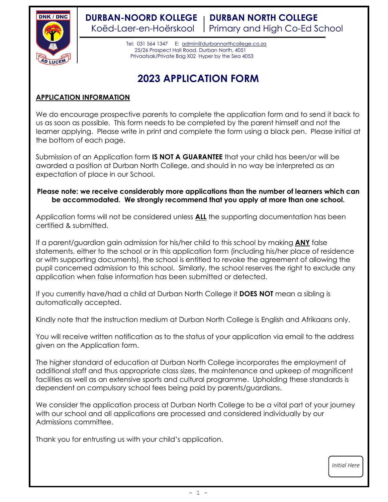

**DURBAN-NOORD KOLLEGE | DURBAN NORTH COLLEGE** Koëd-Laer-en-Hoërskool Primary and High Co-Ed School

> Tel: 031 564 1347 E: [admin@durbannorthcollege.co.za](mailto:admin@durbannorthcollege.co.za) 25/26 Prospect Hall Road, Durban North, 4051 Privaatsak/Private Bag X02 Hyper by the Sea 4053

# **2023 APPLICATION FORM**

## **APPLICATION INFORMATION**

We do encourage prospective parents to complete the application form and to send it back to us as soon as possible. This form needs to be completed by the parent himself and not the learner applying. Please write in print and complete the form using a black pen. Please initial at the bottom of each page.

Submission of an Application form **IS NOT A GUARANTEE** that your child has been/or will be awarded a position at Durban North College, and should in no way be interpreted as an expectation of place in our School.

## **Please note: we receive considerably more applications than the number of learners which can be accommodated. We strongly recommend that you apply at more than one school.**

Application forms will not be considered unless **ALL** the supporting documentation has been certified & submitted.

If a parent/guardian gain admission for his/her child to this school by making **ANY** false statements, either to the school or in this application form (including his/her place of residence or with supporting documents), the school is entitled to revoke the agreement of allowing the pupil concerned admission to this school. Similarly, the school reserves the right to exclude any application when false information has been submitted or detected.

If you currently have/had a child at Durban North College it **DOES NOT** mean a sibling is automatically accepted.

Kindly note that the instruction medium at Durban North College is English and Afrikaans only.

You will receive written notification as to the status of your application via email to the address given on the Application form.

The higher standard of education at Durban North College incorporates the employment of additional staff and thus appropriate class sizes, the maintenance and upkeep of magnificent facilities as well as an extensive sports and cultural programme. Upholding these standards is dependent on compulsory school fees being paid by parents/guardians.

We consider the application process at Durban North College to be a vital part of your journey with our school and all applications are processed and considered individually by our Admissions committee.

Thank you for entrusting us with your child's application.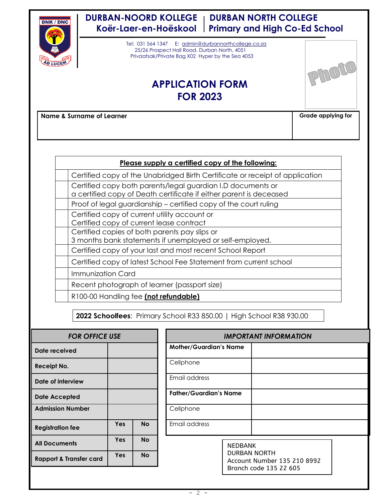

## **DURBAN-NOORD KOLLEGE | DURBAN NORTH COLLEGE Koër-Laer-en-Hoëskool Primary and High Co-Ed School**

 Tel: 031 564 1347 E: [admin@durbannorthcollege.co.za](mailto:admin@durbannorthcollege.co.za) 25/26 Prospect Hall Road, Durban North, 4051 Privaatsak/Private Bag X02 Hyper by the Sea 4053

## **APPLICATION FORM FOR 2023**



**Name & Surname of Learner Grade applying for Grade applying for** 

| Please supply a certified copy of the following:                                                                                  |
|-----------------------------------------------------------------------------------------------------------------------------------|
| Certified copy of the Unabridged Birth Certificate or receipt of application                                                      |
| Certified copy both parents/legal guardian I.D documents or<br>a certified copy of Death certificate if either parent is deceased |
| Proof of legal guardianship – certified copy of the court ruling                                                                  |
| Certified copy of current utility account or<br>Certified copy of current lease contract                                          |
| Certified copies of both parents pay slips or<br>3 months bank statements if unemployed or self-employed.                         |
| Certified copy of your last and most recent School Report                                                                         |
| Certified copy of latest School Fee Statement from current school                                                                 |
| Immunization Card                                                                                                                 |
| Recent photograph of learner (passport size)                                                                                      |
| R100-00 Handling fee (not refundable)                                                                                             |

**2022 Schoolfees**: Primary School R33 850.00 | High School R38 930.00

| <b>FOR OFFICE USE</b>              |     |           |                               | <b>IMPOR</b>   |
|------------------------------------|-----|-----------|-------------------------------|----------------|
| Date received                      |     |           | <b>Mother/Guardian's Name</b> |                |
| Receipt No.                        |     |           | Cellphone                     |                |
| Date of interview                  |     |           | Email address                 |                |
| <b>Date Accepted</b>               |     |           | <b>Father/Guardian's Name</b> |                |
| <b>Admission Number</b>            |     |           | Cellphone                     |                |
| <b>Registration fee</b>            | Yes | <b>No</b> | Email address                 |                |
| <b>All Documents</b>               | Yes | <b>No</b> |                               | NEDB           |
| <b>Rapport &amp; Transfer card</b> | Yes | <b>No</b> |                               | DURB.<br>Accou |
|                                    |     |           |                               | Branc          |

| <b>FOR OFFICE USE</b> |            |           | <b>IMPORTANT INFORMATION</b>                                                 |  |
|-----------------------|------------|-----------|------------------------------------------------------------------------------|--|
| ed                    |            |           | <b>Mother/Guardian's Name</b>                                                |  |
|                       |            |           | Cellphone                                                                    |  |
| rview                 |            |           | Email address                                                                |  |
| ded                   |            |           | <b>Father/Guardian's Name</b>                                                |  |
| <b>Jumber</b>         |            |           | Cellphone                                                                    |  |
| fee                   | <b>Yes</b> | <b>No</b> | Email address                                                                |  |
| nts                   | <b>Yes</b> | <b>No</b> | <b>NEDBANK</b>                                                               |  |
| ransfer card          | <b>Yes</b> | <b>No</b> | <b>DURBAN NORTH</b><br>Account Number 135 210 8992<br>Branch code 135 22 605 |  |
|                       |            |           |                                                                              |  |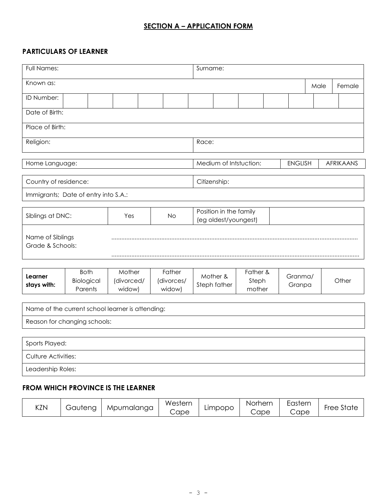## **SECTION A – APPLICATION FORM**

## **PARTICULARS OF LEARNER**

| Full Names:                                      |                           |                      |     |                                                | Surname:                 |  |                        |  |                |  |      |                  |  |  |
|--------------------------------------------------|---------------------------|----------------------|-----|------------------------------------------------|--------------------------|--|------------------------|--|----------------|--|------|------------------|--|--|
| Known as:                                        |                           |                      |     |                                                |                          |  |                        |  |                |  | Male | Female           |  |  |
| ID Number:                                       |                           |                      |     |                                                |                          |  |                        |  |                |  |      |                  |  |  |
| Date of Birth:                                   |                           |                      |     |                                                |                          |  |                        |  |                |  |      |                  |  |  |
| Place of Birth:                                  |                           |                      |     |                                                |                          |  |                        |  |                |  |      |                  |  |  |
| Religion:                                        |                           |                      |     |                                                | Race:                    |  |                        |  |                |  |      |                  |  |  |
| Home Language:                                   |                           |                      |     |                                                |                          |  | Medium of Intstuction: |  | <b>ENGLISH</b> |  |      | <b>AFRIKAANS</b> |  |  |
| Country of residence:                            |                           |                      |     |                                                | Citizenship:             |  |                        |  |                |  |      |                  |  |  |
| Immigrants; Date of entry into S.A.:             |                           |                      |     |                                                |                          |  |                        |  |                |  |      |                  |  |  |
| Siblings at DNC:                                 |                           | Yes                  | No. | Position in the family<br>(eg oldest/youngest) |                          |  |                        |  |                |  |      |                  |  |  |
| Name of Siblings<br>Grade & Schools:             |                           |                      |     |                                                |                          |  |                        |  |                |  |      |                  |  |  |
| Learner<br>stays with:                           | <b>Both</b><br>Biological | Mother<br>(divorced/ |     | Father<br>(divorces/                           | Mother &<br>Steph father |  | Father &<br>Steph      |  | Granma/        |  |      | Other            |  |  |
|                                                  | Parents                   | widow)               |     | widow)                                         |                          |  | mother                 |  | Granpa         |  |      |                  |  |  |
| Name of the current school learner is attending: |                           |                      |     |                                                |                          |  |                        |  |                |  |      |                  |  |  |
| Reason for changing schools:                     |                           |                      |     |                                                |                          |  |                        |  |                |  |      |                  |  |  |
|                                                  |                           |                      |     |                                                |                          |  |                        |  |                |  |      |                  |  |  |
| Sports Played:<br>Culture Activities:            |                           |                      |     |                                                |                          |  |                        |  |                |  |      |                  |  |  |
| Leadership Roles:                                |                           |                      |     |                                                |                          |  |                        |  |                |  |      |                  |  |  |
|                                                  |                           |                      |     |                                                |                          |  |                        |  |                |  |      |                  |  |  |
| <b>FROM WHICH PROVINCE IS THE LEARNER</b>        |                           |                      |     |                                                |                          |  |                        |  |                |  |      |                  |  |  |

| KZN | Gautena | Mpumalanga | Western<br>Cape | Limpopo | Norhern<br>Cape | $\overline{\phantom{0}}$<br>Eastern<br>Cape | $\sim$ $\sim$<br>State<br>-ree |
|-----|---------|------------|-----------------|---------|-----------------|---------------------------------------------|--------------------------------|
|-----|---------|------------|-----------------|---------|-----------------|---------------------------------------------|--------------------------------|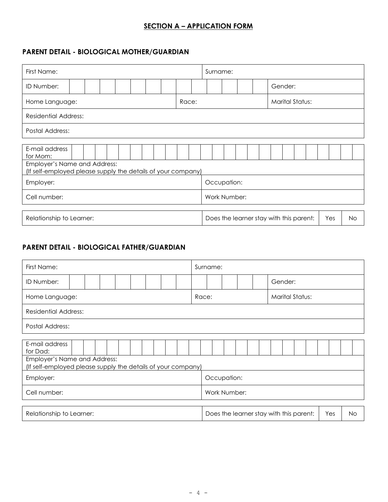## **SECTION A – APPLICATION FORM**

## **PARENT DETAIL - BIOLOGICAL MOTHER/GUARDIAN**

| First Name:                                                                                  |  |  |  |  |  |  |                                                       |  |                          | Surname:    |  |  |  |         |  |  |  |  |  |  |  |  |  |  |
|----------------------------------------------------------------------------------------------|--|--|--|--|--|--|-------------------------------------------------------|--|--------------------------|-------------|--|--|--|---------|--|--|--|--|--|--|--|--|--|--|
| ID Number:                                                                                   |  |  |  |  |  |  |                                                       |  |                          |             |  |  |  | Gender: |  |  |  |  |  |  |  |  |  |  |
| Home Language:                                                                               |  |  |  |  |  |  |                                                       |  | Marital Status:<br>Race: |             |  |  |  |         |  |  |  |  |  |  |  |  |  |  |
| Residential Address:                                                                         |  |  |  |  |  |  |                                                       |  |                          |             |  |  |  |         |  |  |  |  |  |  |  |  |  |  |
| <b>Postal Address:</b>                                                                       |  |  |  |  |  |  |                                                       |  |                          |             |  |  |  |         |  |  |  |  |  |  |  |  |  |  |
| E-mail address<br>for Mom:                                                                   |  |  |  |  |  |  |                                                       |  |                          |             |  |  |  |         |  |  |  |  |  |  |  |  |  |  |
| Employer's Name and Address:<br>(If self-employed please supply the details of your company) |  |  |  |  |  |  |                                                       |  |                          |             |  |  |  |         |  |  |  |  |  |  |  |  |  |  |
| Employer:                                                                                    |  |  |  |  |  |  |                                                       |  |                          | Occupation: |  |  |  |         |  |  |  |  |  |  |  |  |  |  |
| Cell number:<br>Work Number:                                                                 |  |  |  |  |  |  |                                                       |  |                          |             |  |  |  |         |  |  |  |  |  |  |  |  |  |  |
| Relationship to Learner:                                                                     |  |  |  |  |  |  | Does the learner stay with this parent:<br>Yes<br>No. |  |                          |             |  |  |  |         |  |  |  |  |  |  |  |  |  |  |

### **PARENT DETAIL - BIOLOGICAL FATHER/GUARDIAN**

| First Name:                  |                                                                                              |  |  |  |         |  |  |                                                |  |  |                                 | Surname: |             |  |  |  |  |  |  |  |  |
|------------------------------|----------------------------------------------------------------------------------------------|--|--|--|---------|--|--|------------------------------------------------|--|--|---------------------------------|----------|-------------|--|--|--|--|--|--|--|--|
| ID Number:                   |                                                                                              |  |  |  | Gender: |  |  |                                                |  |  |                                 |          |             |  |  |  |  |  |  |  |  |
| Home Language:               |                                                                                              |  |  |  |         |  |  |                                                |  |  | <b>Marital Status:</b><br>Race: |          |             |  |  |  |  |  |  |  |  |
| Residential Address:         |                                                                                              |  |  |  |         |  |  |                                                |  |  |                                 |          |             |  |  |  |  |  |  |  |  |
|                              | Postal Address:                                                                              |  |  |  |         |  |  |                                                |  |  |                                 |          |             |  |  |  |  |  |  |  |  |
| E-mail address<br>for Dad:   | Employer's Name and Address:<br>(If self-employed please supply the details of your company) |  |  |  |         |  |  |                                                |  |  |                                 |          |             |  |  |  |  |  |  |  |  |
| Employer:                    |                                                                                              |  |  |  |         |  |  |                                                |  |  |                                 |          | Occupation: |  |  |  |  |  |  |  |  |
| Cell number:<br>Work Number: |                                                                                              |  |  |  |         |  |  |                                                |  |  |                                 |          |             |  |  |  |  |  |  |  |  |
| Relationship to Learner:     |                                                                                              |  |  |  |         |  |  | Does the learner stay with this parent:<br>Yes |  |  |                                 |          | No.         |  |  |  |  |  |  |  |  |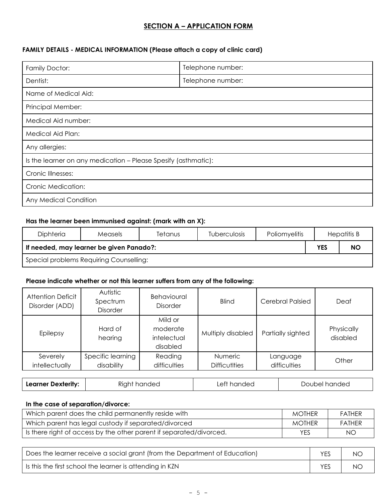## **SECTION A – APPLICATION FORM**

## **FAMILY DETAILS - MEDICAL INFORMATION (Please attach a copy of clinic card)**

| Family Doctor:                                                 | Telephone number: |
|----------------------------------------------------------------|-------------------|
| Dentist:                                                       | Telephone number: |
| Name of Medical Aid:                                           |                   |
| Principal Member:                                              |                   |
| Medical Aid number:                                            |                   |
| Medical Aid Plan:                                              |                   |
| Any allergies:                                                 |                   |
| Is the learner on any medication - Please Spesify (asthmatic): |                   |
| Cronic Illnesses:                                              |                   |
| Cronic Medication:                                             |                   |
| Any Medical Condition                                          |                   |

#### **Has the learner been immunised against: (mark with an X):**

| Diphteria                               | Measels                                                             | Tetanus | <b>Tuberculosis</b> | Poliomyelitis |  | Hepatitis B |  |  |  |  |
|-----------------------------------------|---------------------------------------------------------------------|---------|---------------------|---------------|--|-------------|--|--|--|--|
|                                         | <b>NO</b><br><b>YES</b><br>If needed, may learner be given Panado?: |         |                     |               |  |             |  |  |  |  |
| Special problems Requiring Counselling: |                                                                     |         |                     |               |  |             |  |  |  |  |

#### **Please indicate whether or not this learner suffers from any of the following:**

| <b>Attention Deficit</b><br>Disorder (ADD) | Autistic<br>Spectrum<br><b>Disorder</b> | <b>Behavioural</b><br><b>Disorder</b>          | <b>Blind</b>                           |                          | Cerebral Palsied  | Deaf                   |
|--------------------------------------------|-----------------------------------------|------------------------------------------------|----------------------------------------|--------------------------|-------------------|------------------------|
| Epilepsy                                   | Hard of<br>hearing                      | Mild or<br>moderate<br>intelectual<br>disabled | Multiply disabled                      |                          | Partially sighted | Physically<br>disabled |
| Severely<br>intellectually                 | Specific learning<br>disability         | Reading<br>difficulties                        | <b>Numeric</b><br><b>Difficutities</b> | Language<br>difficulties |                   | Other                  |
| <b>Learner Dexterity:</b>                  | Right handed                            | Left handed                                    |                                        |                          | Doubel handed     |                        |

#### **In the case of separation/divorce:**

| Which parent does the child permanently reside with                 | <b>MOTHER</b> | <b>FATHFR</b> |
|---------------------------------------------------------------------|---------------|---------------|
| Which parent has legal custody if separated/divorced                | <b>MOTHER</b> | <b>FATHER</b> |
| Is there right of access by the other parent if separated/divorced. | <b>YES</b>    | NO            |

| Does the learner receive a social grant (from the Department of Education) | NO. |
|----------------------------------------------------------------------------|-----|
| Is this the first school the learner is attending in KZN                   | NO. |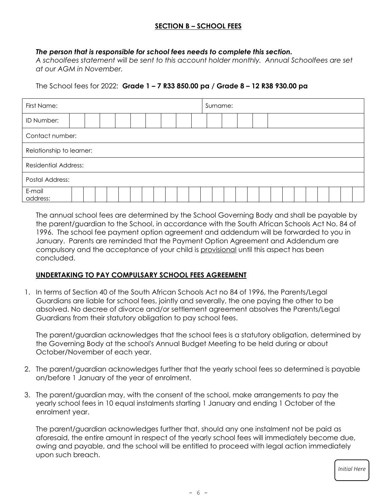## **SECTION B – SCHOOL FEES**

#### *The person that is responsible for school fees needs to complete this section.*

*A schoolfees statement will be sent to this account holder monthly. Annual Schoolfees are set at our AGM in November.*

The School fees for 2022: **Grade 1 – 7 R33 850.00 pa / Grade 8 – 12 R38 930.00 pa**

| First Name:                 |  |  |  |  |  |  | Surname: |  |  |  |  |  |  |  |  |  |  |  |  |  |  |  |
|-----------------------------|--|--|--|--|--|--|----------|--|--|--|--|--|--|--|--|--|--|--|--|--|--|--|
| ID Number:                  |  |  |  |  |  |  |          |  |  |  |  |  |  |  |  |  |  |  |  |  |  |  |
| Contact number:             |  |  |  |  |  |  |          |  |  |  |  |  |  |  |  |  |  |  |  |  |  |  |
| Relationship to learner:    |  |  |  |  |  |  |          |  |  |  |  |  |  |  |  |  |  |  |  |  |  |  |
| <b>Residential Address:</b> |  |  |  |  |  |  |          |  |  |  |  |  |  |  |  |  |  |  |  |  |  |  |
| Postal Address:             |  |  |  |  |  |  |          |  |  |  |  |  |  |  |  |  |  |  |  |  |  |  |
| E-mail<br>address:          |  |  |  |  |  |  |          |  |  |  |  |  |  |  |  |  |  |  |  |  |  |  |

The annual school fees are determined by the School Governing Body and shall be payable by the parent/guardian to the School, in accordance with the South African Schools Act No. 84 of 1996. The school fee payment option agreement and addendum will be forwarded to you in January. Parents are reminded that the Payment Option Agreement and Addendum are compulsory and the acceptance of your child is provisional until this aspect has been concluded.

#### **UNDERTAKING TO PAY COMPULSARY SCHOOL FEES AGREEMENT**

1. In terms of Section 40 of the South African Schools Act no 84 of 1996, the Parents/Legal Guardians are liable for school fees, jointly and severally, the one paying the other to be absolved. No decree of divorce and/or settlement agreement absolves the Parents/Legal Guardians from their statutory obligation to pay school fees.

The parent/guardian acknowledges that the school fees is a statutory obligation, determined by the Governing Body at the school's Annual Budget Meeting to be held during or about October/November of each year.

- 2. The parent/guardian acknowledges further that the yearly school fees so determined is payable on/before 1 January of the year of enrolment.
- 3. The parent/guardian may, with the consent of the school, make arrangements to pay the yearly school fees in 10 equal instalments starting 1 January and ending 1 October of the enrolment year.

The parent/guardian acknowledges further that, should any one instalment not be paid as aforesaid, the entire amount in respect of the yearly school fees will immediately become due, owing and payable, and the school will be entitled to proceed with legal action immediately upon such breach.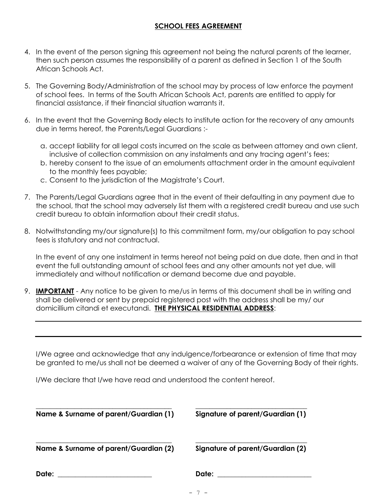## **SCHOOL FEES AGREEMENT**

- 4. In the event of the person signing this agreement not being the natural parents of the learner, then such person assumes the responsibility of a parent as defined in Section 1 of the South African Schools Act.
- 5. The Governing Body/Administration of the school may by process of law enforce the payment of school fees. In terms of the South African Schools Act, parents are entitled to apply for financial assistance, if their financial situation warrants it.
- 6. In the event that the Governing Body elects to institute action for the recovery of any amounts due in terms hereof, the Parents/Legal Guardians :
	- a. accept liability for all legal costs incurred on the scale as between attorney and own client, inclusive of collection commission on any instalments and any tracing agent's fees;
	- b. hereby consent to the issue of an emoluments attachment order in the amount equivalent to the monthly fees payable;
	- c. Consent to the jurisdiction of the Magistrate's Court.
- 7. The Parents/Legal Guardians agree that in the event of their defaulting in any payment due to the school, that the school may adversely list them with a registered credit bureau and use such credit bureau to obtain information about their credit status.
- 8. Notwithstanding my/our signature(s) to this commitment form, my/our obligation to pay school fees is statutory and not contractual.

In the event of any one instalment in terms hereof not being paid on due date, then and in that event the full outstanding amount of school fees and any other amounts not yet due, will immediately and without notification or demand become due and payable.

9. **IMPORTANT** - Any notice to be given to me/us in terms of this document shall be in writing and shall be delivered or sent by prepaid registered post with the address shall be my/ our domicillium citandi et executandi. **THE PHYSICAL RESIDENTIAL ADDRESS**:

I/We agree and acknowledge that any indulgence/forbearance or extension of time that may be granted to me/us shall not be deemed a waiver of any of the Governing Body of their rights.

I/We declare that I/we have read and understood the content hereof.

| Name & Surname of parent/Guardian (1) | Signature of parent/Guardian (1) |
|---------------------------------------|----------------------------------|
| Name & Surname of parent/Guardian (2) | Signature of parent/Guardian (2) |
| Date:                                 | Date:                            |

- 7 -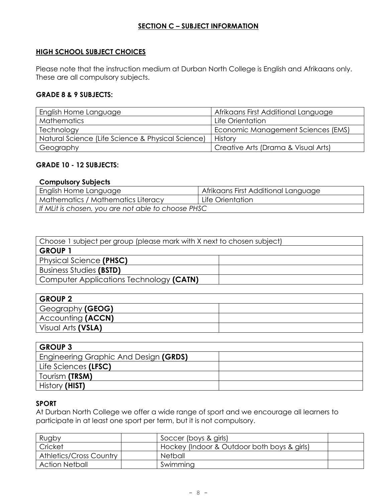## **SECTION C – SUBJECT INFORMATION**

## **HIGH SCHOOL SUBJECT CHOICES**

Please note that the instruction medium at Durban North College is English and Afrikaans only. These are all compulsory subjects.

## **GRADE 8 & 9 SUBJECTS:**

| English Home Language                             | Afrikaans First Additional Language |
|---------------------------------------------------|-------------------------------------|
| <b>Mathematics</b>                                | Life Orientation                    |
| Technology                                        | Economic Management Sciences (EMS)  |
| Natural Science (Life Science & Physical Science) | History                             |
| Geography                                         | Creative Arts (Drama & Visual Arts) |

#### **GRADE 10 - 12 SUBJECTS:**

#### **Compulsory Subjects**

| English Home Language                              | Afrikaans First Additional Language |
|----------------------------------------------------|-------------------------------------|
| Mathematics / Mathematics Literacy                 | Life Orientation                    |
| If MLit is chosen, you are not able to choose PHSC |                                     |

| Choose 1 subject per group (please mark with X next to chosen subject) |  |  |  |  |  |  |
|------------------------------------------------------------------------|--|--|--|--|--|--|
| <b>GROUP 1</b>                                                         |  |  |  |  |  |  |
| Physical Science (PHSC)                                                |  |  |  |  |  |  |
| <b>Business Studies (BSTD)</b>                                         |  |  |  |  |  |  |
| Computer Applications Technology (CATN)                                |  |  |  |  |  |  |

| <b>GROUP 2</b>     |  |
|--------------------|--|
| Geography (GEOG)   |  |
| Accounting (ACCN)  |  |
| Visual Arts (VSLA) |  |

| <b>GROUP 3</b>                        |  |
|---------------------------------------|--|
| Engineering Graphic And Design (GRDS) |  |
| Life Sciences (LFSC)                  |  |
| Tourism (TRSM)                        |  |
| History (HIST)                        |  |

#### **SPORT**

At Durban North College we offer a wide range of sport and we encourage all learners to participate in at least one sport per term, but it is not compulsory.

| Rugby                          | Soccer (boys & girls)                       |  |
|--------------------------------|---------------------------------------------|--|
| Cricket                        | Hockey (Indoor & Outdoor both boys & girls) |  |
| <b>Athletics/Cross Country</b> | Netball                                     |  |
| <b>Action Netball</b>          | Swimming                                    |  |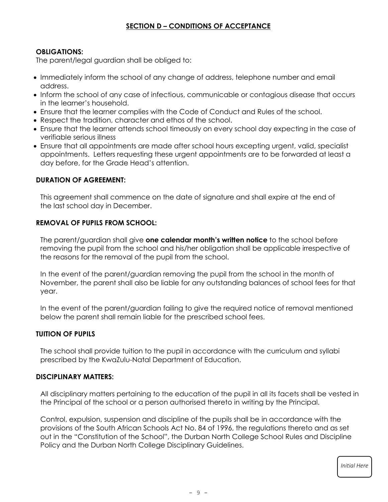## **SECTION D – CONDITIONS OF ACCEPTANCE**

## **OBLIGATIONS:**

The parent/legal guardian shall be obliged to:

- Immediately inform the school of any change of address, telephone number and email address.
- Inform the school of any case of infectious, communicable or contagious disease that occurs in the learner's household.
- Ensure that the learner complies with the Code of Conduct and Rules of the school.
- Respect the tradition, character and ethos of the school.
- Ensure that the learner attends school timeously on every school day expecting in the case of verifiable serious illness
- Ensure that all appointments are made after school hours excepting urgent, valid, specialist appointments. Letters requesting these urgent appointments are to be forwarded at least a day before, for the Grade Head's attention.

## **DURATION OF AGREEMENT:**

This agreement shall commence on the date of signature and shall expire at the end of the last school day in December.

## **REMOVAL OF PUPILS FROM SCHOOL:**

The parent/guardian shall give **one calendar month's written notice** to the school before removing the pupil from the school and his/her obligation shall be applicable irrespective of the reasons for the removal of the pupil from the school.

In the event of the parent/guardian removing the pupil from the school in the month of November, the parent shall also be liable for any outstanding balances of school fees for that year.

In the event of the parent/guardian failing to give the required notice of removal mentioned below the parent shall remain liable for the prescribed school fees.

#### **TUITION OF PUPILS**

The school shall provide tuition to the pupil in accordance with the curriculum and syllabi prescribed by the KwaZulu-Natal Department of Education.

#### **DISCIPLINARY MATTERS:**

All disciplinary matters pertaining to the education of the pupil in all its facets shall be vested in the Principal of the school or a person authorised thereto in writing by the Principal.

Control, expulsion, suspension and discipline of the pupils shall be in accordance with the provisions of the South African Schools Act No. 84 of 1996, the regulations thereto and as set out in the "Constitution of the School", the Durban North College School Rules and Discipline Policy and the Durban North College Disciplinary Guidelines.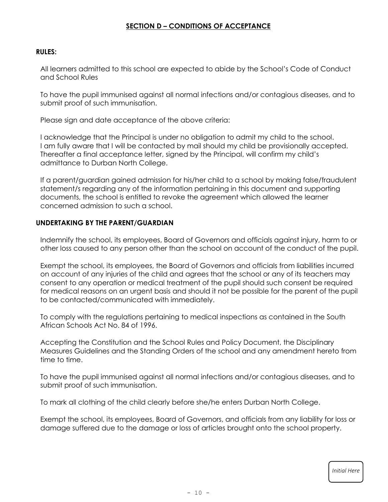## **SECTION D – CONDITIONS OF ACCEPTANCE**

#### **RULES:**

All learners admitted to this school are expected to abide by the School's Code of Conduct and School Rules

To have the pupil immunised against all normal infections and/or contagious diseases, and to submit proof of such immunisation.

Please sign and date acceptance of the above criteria:

I acknowledge that the Principal is under no obligation to admit my child to the school. I am fully aware that I will be contacted by mail should my child be provisionally accepted. Thereafter a final acceptance letter, signed by the Principal, will confirm my child's admittance to Durban North College.

If a parent/guardian gained admission for his/her child to a school by making false/fraudulent statement/s regarding any of the information pertaining in this document and supporting documents, the school is entitled to revoke the agreement which allowed the learner concerned admission to such a school.

#### **UNDERTAKING BY THE PARENT/GUARDIAN**

Indemnify the school, its employees, Board of Governors and officials against injury, harm to or other loss caused to any person other than the school on account of the conduct of the pupil.

Exempt the school, its employees, the Board of Governors and officials from liabilities incurred on account of any injuries of the child and agrees that the school or any of its teachers may consent to any operation or medical treatment of the pupil should such consent be required for medical reasons on an urgent basis and should it not be possible for the parent of the pupil to be contacted/communicated with immediately.

To comply with the regulations pertaining to medical inspections as contained in the South African Schools Act No. 84 of 1996.

Accepting the Constitution and the School Rules and Policy Document, the Disciplinary Measures Guidelines and the Standing Orders of the school and any amendment hereto from time to time.

To have the pupil immunised against all normal infections and/or contagious diseases, and to submit proof of such immunisation.

To mark all clothing of the child clearly before she/he enters Durban North College.

Exempt the school, its employees, Board of Governors, and officials from any liability for loss or damage suffered due to the damage or loss of articles brought onto the school property.